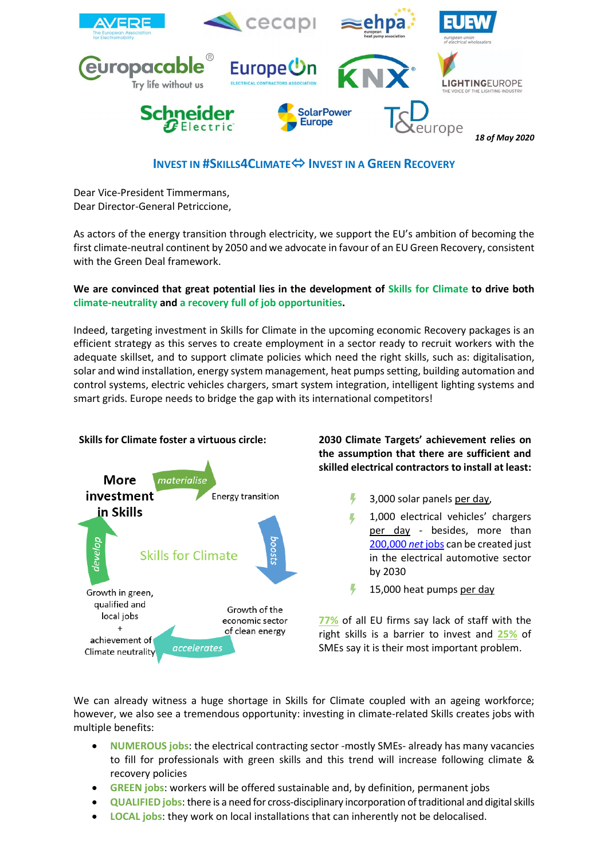

## **INVEST IN #SKILLS4CLIMATE INVEST IN A GREEN RECOVERY**

Dear Vice-President Timmermans, Dear Director-General Petriccione,

As actors of the energy transition through electricity, we support the EU's ambition of becoming the first climate-neutral continent by 2050 and we advocate in favour of an EU Green Recovery, consistent with the Green Deal framework.

## **We are convinced that great potential lies in the development of Skills for Climate to drive both climate-neutrality and a recovery full of job opportunities.**

Indeed, targeting investment in Skills for Climate in the upcoming economic Recovery packages is an efficient strategy as this serves to create employment in a sector ready to recruit workers with the adequate skillset, and to support climate policies which need the right skills, such as: digitalisation, solar and wind installation, energy system management, heat pumps setting, building automation and control systems, electric vehicles chargers, smart system integration, intelligent lighting systems and smart grids. Europe needs to bridge the gap with its international competitors!



## **the assumption that there are sufficient and skilled electrical contractors to install at least:**

- Ļ 3,000 solar panels per day,
- 1,000 electrical vehicles' chargers per day - besides, more than [200,000](https://europe-on.org/2019/11/14/the-job-potential-of-transport-electrification/) *net* jobs can be created just in the electrical automotive sector by 2030
- Ļ 15,000 heat pumps per day

**[77%](https://www.eib.org/attachments/efs/economic_investment_report_2018_en.pdf)** of all EU firms say lack of staff with the right skills is a barrier to invest and **[25%](https://www.ecb.europa.eu/stats/ecb_surveys/safe/html/index.en.html)** of SMEs say it is their most important problem.

We can already witness a huge shortage in Skills for Climate coupled with an ageing workforce; however, we also see a tremendous opportunity: investing in climate-related Skills creates jobs with multiple benefits:

- **NUMEROUS jobs**: the electrical contracting sector -mostly SMEs- already has many vacancies to fill for professionals with green skills and this trend will increase following climate & recovery policies
- **GREEN jobs**: workers will be offered sustainable and, by definition, permanent jobs
- **QUALIFIED jobs**: there is a need for cross-disciplinary incorporation of traditional and digital skills
- **LOCAL jobs**: they work on local installations that can inherently not be delocalised.